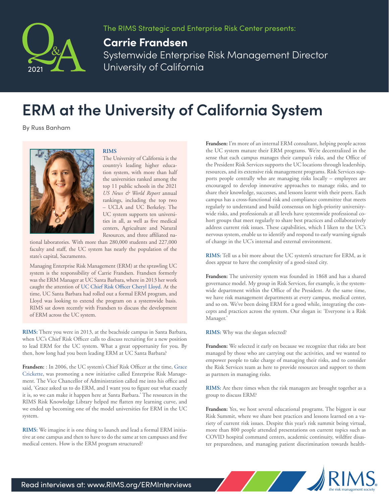

The RIMS Strategic and Enterprise Risk Center presents:

## **Carrie Frandsen**

Systemwide Enterprise Risk Management Director University of California

## **ERM at the University of California System**

By Russ Banham



## **RIMS**

The University of California is the country's leading higher education system, with more than half the universities ranked among the top 11 public schools in the 2021 *US News & World Report* annual rankings, including the top two – UCLA and UC Berkeley. The UC system supports ten universities in all, as well as five medical centers, Agriculture and Natural Resources, and three affiliated na-

tional laboratories. With more than 280,000 students and 227,000 faculty and staff, the UC system has nearly the population of the state's capital, Sacramento.

Managing Enterprise Risk Management (ERM) at the sprawling UC system is the responsibility of Carrie Frandsen. Frandsen formerly was the ERM Manager at UC Santa Barbara, where in 2013 her work caught the attention of [UC Chief Risk Officer Cheryl Lloyd.](https://rimscast.libsyn.com/making-the-grade-cheryl-lloyd-risk-manager-of-the-year-honor-roll-inductee) At the time, UC Santa Barbara had rolled out a formal ERM program, and Lloyd was looking to extend the program on a systemwide basis. RIMS sat down recently with Frandsen to discuss the development of ERM across the UC system.

**RIMS:** There you were in 2013, at the beachside campus in Santa Barbara, when UC's Chief Risk Officer calls to discuss recruiting for a new position to lead ERM for the UC system. What a great opportunity for you. By then, how long had you been leading ERM at UC Santa Barbara?

**Frandsen:** : In 2006, the UC system's Chief Risk Officer at the time, [Grace](https://www.rims.org/docs/default-source/default-document-library/erm-q-a/crickette-interview-redesign.pdf?sfvrsn=bd859177_1) [Crickette](https://www.rims.org/docs/default-source/default-document-library/erm-q-a/crickette-interview-redesign.pdf?sfvrsn=bd859177_1), was promoting a new initiative called Enterprise Risk Management. The Vice Chancellor of Administration called me into his office and said, 'Grace asked us to do ERM, and I want you to figure out what exactly it is, so we can make it happen here at Santa Barbara.' The resources in the RIMS Risk Knowledge Library helped me flatten my learning curve, and we ended up becoming one of the model universities for ERM in the UC system.

**RIMS:** We imagine it is one thing to launch and lead a formal ERM initiative at one campus and then to have to do the same at ten campuses and five medical centers. How is the ERM program structured?

**Frandsen:** I'm more of an internal ERM consultant, helping people across the UC system mature their ERM programs. We're decentralized in the sense that each campus manages their campus's risks, and the Office of the President Risk Services supports the UC locations through leadership, resources, and its extensive risk management programs. Risk Services supports people centrally who are managing risks locally – employees are encouraged to develop innovative approaches to manage risks, and to share their knowledge, successes, and lessons learnt with their peers. Each campus has a cross-functional risk and compliance committee that meets regularly to understand and build consensus on high-priority universitywide risks, and professionals at all levels have systemwide professional cohort groups that meet regularly to share best practices and collaboratively address current risk issues. These capabilities, which I liken to the UC's nervous system, enable us to identify and respond to early warning signals of change in the UC's internal and external environment.

**RIMS:** Tell us a bit more about the UC system's structure for ERM, as it does appear to have the complexity of a good-sized city.

**Frandsen:** The university system was founded in 1868 and has a shared governance model. My group in Risk Services, for example, is the systemwide department within the Office of the President. At the same time, we have risk management departments at every campus, medical center, and so on. We've been doing ERM for a good while, integrating the concepts and practices across the system. Our slogan is: 'Everyone is a Risk Manager.'

**RIMS:** Why was the slogan selected?

**Frandsen:** We selected it early on because we recognize that risks are best managed by those who are carrying out the activities, and we wanted to empower people to take charge of managing their risks, and to consider the Risk Services team as here to provide resources and support to them as partners in managing risks.

**RIMS:** Are there times when the risk managers are brought together as a group to discuss ERM?

**Frandsen:** Yes, we host several educational programs. The biggest is our Risk Summit, where we share best practices and lessons learned on a variety of current risk issues. Despite this year's risk summit being virtual, more than 800 people attended presentations on current topics such as COVID hospital command centers, academic continuity, wildfire disaster preparedness, and managing patient discrimination towards health-

September 1888